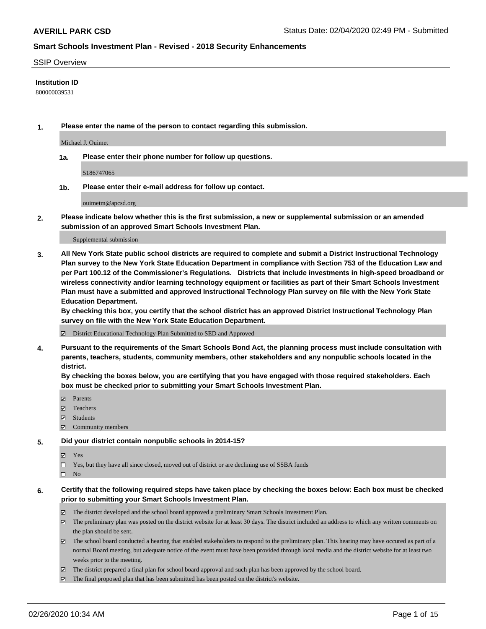#### SSIP Overview

### **Institution ID**

800000039531

**1. Please enter the name of the person to contact regarding this submission.**

Michael J. Ouimet

**1a. Please enter their phone number for follow up questions.**

5186747065

**1b. Please enter their e-mail address for follow up contact.**

ouimetm@apcsd.org

**2. Please indicate below whether this is the first submission, a new or supplemental submission or an amended submission of an approved Smart Schools Investment Plan.**

#### Supplemental submission

**3. All New York State public school districts are required to complete and submit a District Instructional Technology Plan survey to the New York State Education Department in compliance with Section 753 of the Education Law and per Part 100.12 of the Commissioner's Regulations. Districts that include investments in high-speed broadband or wireless connectivity and/or learning technology equipment or facilities as part of their Smart Schools Investment Plan must have a submitted and approved Instructional Technology Plan survey on file with the New York State Education Department.** 

**By checking this box, you certify that the school district has an approved District Instructional Technology Plan survey on file with the New York State Education Department.**

District Educational Technology Plan Submitted to SED and Approved

**4. Pursuant to the requirements of the Smart Schools Bond Act, the planning process must include consultation with parents, teachers, students, community members, other stakeholders and any nonpublic schools located in the district.** 

**By checking the boxes below, you are certifying that you have engaged with those required stakeholders. Each box must be checked prior to submitting your Smart Schools Investment Plan.**

- **マ** Parents
- Teachers
- Students
- Community members

#### **5. Did your district contain nonpublic schools in 2014-15?**

**冈** Yes

Yes, but they have all since closed, moved out of district or are declining use of SSBA funds

 $\square$  No

- **6. Certify that the following required steps have taken place by checking the boxes below: Each box must be checked prior to submitting your Smart Schools Investment Plan.**
	- The district developed and the school board approved a preliminary Smart Schools Investment Plan.
	- $\boxtimes$  The preliminary plan was posted on the district website for at least 30 days. The district included an address to which any written comments on the plan should be sent.
	- $\boxtimes$  The school board conducted a hearing that enabled stakeholders to respond to the preliminary plan. This hearing may have occured as part of a normal Board meeting, but adequate notice of the event must have been provided through local media and the district website for at least two weeks prior to the meeting.
	- The district prepared a final plan for school board approval and such plan has been approved by the school board.
	- $\boxtimes$  The final proposed plan that has been submitted has been posted on the district's website.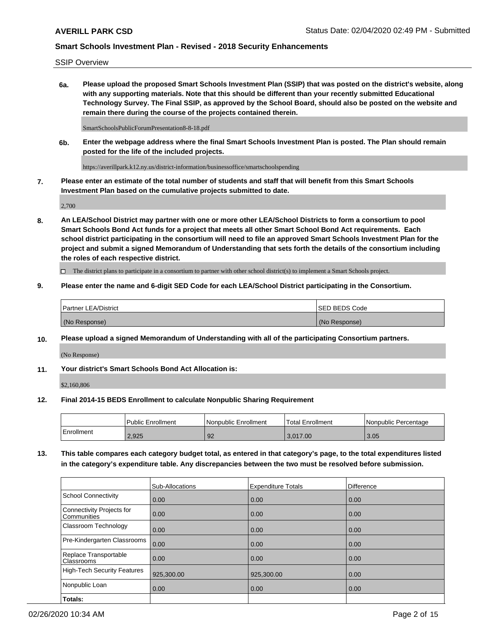SSIP Overview

**6a. Please upload the proposed Smart Schools Investment Plan (SSIP) that was posted on the district's website, along with any supporting materials. Note that this should be different than your recently submitted Educational Technology Survey. The Final SSIP, as approved by the School Board, should also be posted on the website and remain there during the course of the projects contained therein.**

SmartSchoolsPublicForumPresentation8-8-18.pdf

**6b. Enter the webpage address where the final Smart Schools Investment Plan is posted. The Plan should remain posted for the life of the included projects.**

https://averillpark.k12.ny.us/district-information/businessoffice/smartschoolspending

**7. Please enter an estimate of the total number of students and staff that will benefit from this Smart Schools Investment Plan based on the cumulative projects submitted to date.**

2,700

**8. An LEA/School District may partner with one or more other LEA/School Districts to form a consortium to pool Smart Schools Bond Act funds for a project that meets all other Smart School Bond Act requirements. Each school district participating in the consortium will need to file an approved Smart Schools Investment Plan for the project and submit a signed Memorandum of Understanding that sets forth the details of the consortium including the roles of each respective district.**

 $\Box$  The district plans to participate in a consortium to partner with other school district(s) to implement a Smart Schools project.

### **9. Please enter the name and 6-digit SED Code for each LEA/School District participating in the Consortium.**

| Partner LEA/District | <b>ISED BEDS Code</b> |
|----------------------|-----------------------|
| (No Response)        | (No Response)         |

### **10. Please upload a signed Memorandum of Understanding with all of the participating Consortium partners.**

(No Response)

### **11. Your district's Smart Schools Bond Act Allocation is:**

\$2,160,806

#### **12. Final 2014-15 BEDS Enrollment to calculate Nonpublic Sharing Requirement**

|            | <b>Public Enrollment</b> | Nonpublic Enrollment | Total Enrollment | l Nonpublic Percentage |
|------------|--------------------------|----------------------|------------------|------------------------|
| Enrollment | 2,925                    | 92                   | 3.017.00         | 3.05                   |

**13. This table compares each category budget total, as entered in that category's page, to the total expenditures listed in the category's expenditure table. Any discrepancies between the two must be resolved before submission.**

|                                                 | Sub-Allocations | <b>Expenditure Totals</b> | Difference |
|-------------------------------------------------|-----------------|---------------------------|------------|
| <b>School Connectivity</b>                      | 0.00            | 0.00                      | 0.00       |
| <b>Connectivity Projects for</b><br>Communities | 0.00            | 0.00                      | 0.00       |
| Classroom Technology                            | 0.00            | 0.00                      | 0.00       |
| Pre-Kindergarten Classrooms                     | 0.00            | 0.00                      | 0.00       |
| Replace Transportable<br>Classrooms             | 0.00            | 0.00                      | 0.00       |
| <b>High-Tech Security Features</b>              | 925,300.00      | 925,300.00                | 0.00       |
| Nonpublic Loan                                  | 0.00            | 0.00                      | 0.00       |
| Totals:                                         |                 |                           |            |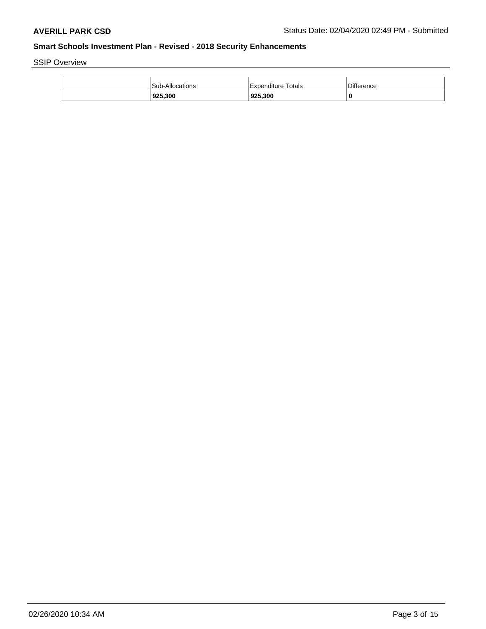SSIP Overview

| 925,300                | 925,300            | 0          |
|------------------------|--------------------|------------|
| <b>Sub-Allocations</b> | Expenditure Totals | Difference |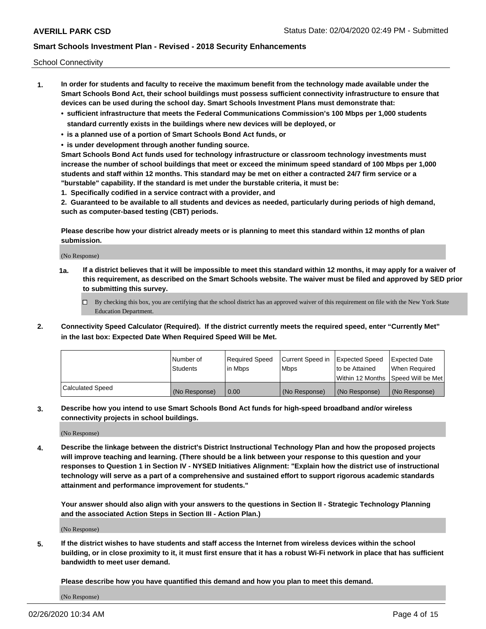School Connectivity

- **1. In order for students and faculty to receive the maximum benefit from the technology made available under the Smart Schools Bond Act, their school buildings must possess sufficient connectivity infrastructure to ensure that devices can be used during the school day. Smart Schools Investment Plans must demonstrate that:**
	- **• sufficient infrastructure that meets the Federal Communications Commission's 100 Mbps per 1,000 students standard currently exists in the buildings where new devices will be deployed, or**
	- **• is a planned use of a portion of Smart Schools Bond Act funds, or**
	- **• is under development through another funding source.**

**Smart Schools Bond Act funds used for technology infrastructure or classroom technology investments must increase the number of school buildings that meet or exceed the minimum speed standard of 100 Mbps per 1,000 students and staff within 12 months. This standard may be met on either a contracted 24/7 firm service or a "burstable" capability. If the standard is met under the burstable criteria, it must be:**

**1. Specifically codified in a service contract with a provider, and**

**2. Guaranteed to be available to all students and devices as needed, particularly during periods of high demand, such as computer-based testing (CBT) periods.**

**Please describe how your district already meets or is planning to meet this standard within 12 months of plan submission.**

(No Response)

**1a. If a district believes that it will be impossible to meet this standard within 12 months, it may apply for a waiver of this requirement, as described on the Smart Schools website. The waiver must be filed and approved by SED prior to submitting this survey.**

 $\Box$  By checking this box, you are certifying that the school district has an approved waiver of this requirement on file with the New York State Education Department.

**2. Connectivity Speed Calculator (Required). If the district currently meets the required speed, enter "Currently Met" in the last box: Expected Date When Required Speed Will be Met.**

|                  | l Number of     | Required Speed | Current Speed in | Expected Speed  | Expected Date                           |
|------------------|-----------------|----------------|------------------|-----------------|-----------------------------------------|
|                  | <b>Students</b> | In Mbps        | l Mbps           | to be Attained  | When Required                           |
|                  |                 |                |                  |                 | l Within 12 Months ISpeed Will be Met l |
| Calculated Speed | (No Response)   | 0.00           | (No Response)    | l (No Response) | l (No Response)                         |

**3. Describe how you intend to use Smart Schools Bond Act funds for high-speed broadband and/or wireless connectivity projects in school buildings.**

(No Response)

**4. Describe the linkage between the district's District Instructional Technology Plan and how the proposed projects will improve teaching and learning. (There should be a link between your response to this question and your responses to Question 1 in Section IV - NYSED Initiatives Alignment: "Explain how the district use of instructional technology will serve as a part of a comprehensive and sustained effort to support rigorous academic standards attainment and performance improvement for students."** 

**Your answer should also align with your answers to the questions in Section II - Strategic Technology Planning and the associated Action Steps in Section III - Action Plan.)**

(No Response)

**5. If the district wishes to have students and staff access the Internet from wireless devices within the school building, or in close proximity to it, it must first ensure that it has a robust Wi-Fi network in place that has sufficient bandwidth to meet user demand.**

**Please describe how you have quantified this demand and how you plan to meet this demand.**

(No Response)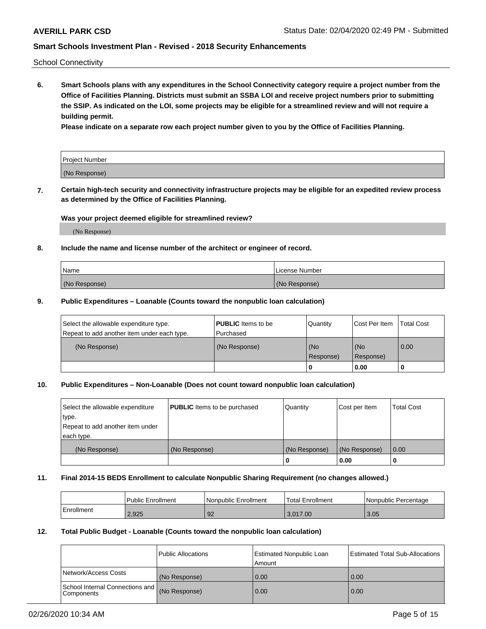School Connectivity

**6. Smart Schools plans with any expenditures in the School Connectivity category require a project number from the Office of Facilities Planning. Districts must submit an SSBA LOI and receive project numbers prior to submitting the SSIP. As indicated on the LOI, some projects may be eligible for a streamlined review and will not require a building permit.**

**Please indicate on a separate row each project number given to you by the Office of Facilities Planning.**

| Project Number |  |
|----------------|--|
| (No Response)  |  |

**7. Certain high-tech security and connectivity infrastructure projects may be eligible for an expedited review process as determined by the Office of Facilities Planning.**

#### **Was your project deemed eligible for streamlined review?**

(No Response)

### **8. Include the name and license number of the architect or engineer of record.**

| Name          | License Number |
|---------------|----------------|
| (No Response) | (No Response)  |

### **9. Public Expenditures – Loanable (Counts toward the nonpublic loan calculation)**

| Select the allowable expenditure type.<br>Repeat to add another item under each type. | <b>PUBLIC</b> Items to be<br>l Purchased | Quantity           | Cost Per Item    | <b>Total Cost</b> |
|---------------------------------------------------------------------------------------|------------------------------------------|--------------------|------------------|-------------------|
| (No Response)                                                                         | (No Response)                            | l (No<br>Response) | (No<br>Response) | $\overline{0.00}$ |
|                                                                                       |                                          | O                  | 0.00             |                   |

### **10. Public Expenditures – Non-Loanable (Does not count toward nonpublic loan calculation)**

| Select the allowable expenditure<br>type.<br>Repeat to add another item under<br>each type. | <b>PUBLIC</b> Items to be purchased | Quantity      | Cost per Item | <b>Total Cost</b> |
|---------------------------------------------------------------------------------------------|-------------------------------------|---------------|---------------|-------------------|
| (No Response)                                                                               | (No Response)                       | (No Response) | (No Response) | 0.00              |
|                                                                                             |                                     |               | 0.00          |                   |

#### **11. Final 2014-15 BEDS Enrollment to calculate Nonpublic Sharing Requirement (no changes allowed.)**

|            | Public Enrollment | l Nonpublic Enrollment | <b>Total Enrollment</b> | Nonpublic Percentage |
|------------|-------------------|------------------------|-------------------------|----------------------|
| Enrollment | 2.925             | 92                     | 3.017.00                | 3.05                 |

#### **12. Total Public Budget - Loanable (Counts toward the nonpublic loan calculation)**

|                                                      | Public Allocations | <b>Estimated Nonpublic Loan</b><br>Amount | Estimated Total Sub-Allocations |
|------------------------------------------------------|--------------------|-------------------------------------------|---------------------------------|
| Network/Access Costs                                 | (No Response)      | 0.00                                      | 0.00                            |
| School Internal Connections and<br><b>Components</b> | (No Response)      | 0.00                                      | 0.00                            |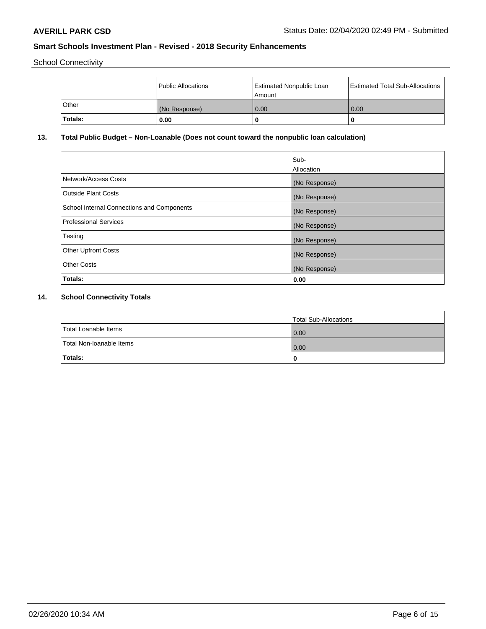School Connectivity

|          | Public Allocations | <b>Estimated Nonpublic Loan</b><br>l Amount | <b>Estimated Total Sub-Allocations</b> |
|----------|--------------------|---------------------------------------------|----------------------------------------|
| l Other  | (No Response)      | 0.00                                        | 0.00                                   |
| 'Totals: | 0.00               | 0                                           |                                        |

# **13. Total Public Budget – Non-Loanable (Does not count toward the nonpublic loan calculation)**

|                                                   | Sub-<br>Allocation |
|---------------------------------------------------|--------------------|
|                                                   |                    |
| Network/Access Costs                              | (No Response)      |
| <b>Outside Plant Costs</b>                        | (No Response)      |
| <b>School Internal Connections and Components</b> | (No Response)      |
| Professional Services                             | (No Response)      |
| Testing                                           | (No Response)      |
| <b>Other Upfront Costs</b>                        | (No Response)      |
| <b>Other Costs</b>                                | (No Response)      |
| <b>Totals:</b>                                    | 0.00               |

# **14. School Connectivity Totals**

|                          | Total Sub-Allocations |
|--------------------------|-----------------------|
| Total Loanable Items     | 0.00                  |
| Total Non-Ioanable Items | 0.00                  |
| Totals:                  | 0                     |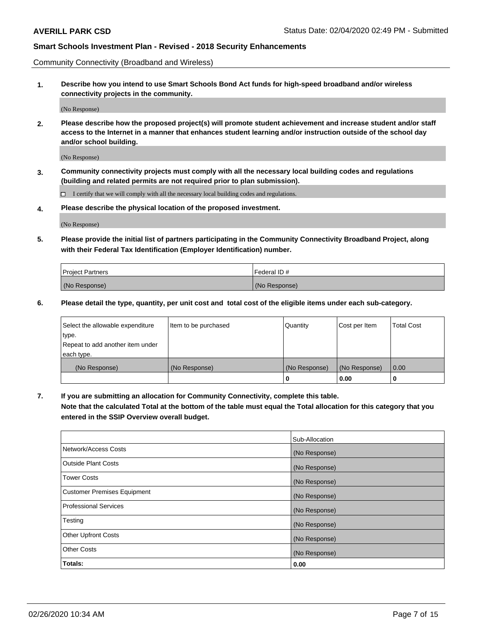Community Connectivity (Broadband and Wireless)

**1. Describe how you intend to use Smart Schools Bond Act funds for high-speed broadband and/or wireless connectivity projects in the community.**

(No Response)

**2. Please describe how the proposed project(s) will promote student achievement and increase student and/or staff access to the Internet in a manner that enhances student learning and/or instruction outside of the school day and/or school building.**

(No Response)

**3. Community connectivity projects must comply with all the necessary local building codes and regulations (building and related permits are not required prior to plan submission).**

 $\Box$  I certify that we will comply with all the necessary local building codes and regulations.

**4. Please describe the physical location of the proposed investment.**

(No Response)

**5. Please provide the initial list of partners participating in the Community Connectivity Broadband Project, along with their Federal Tax Identification (Employer Identification) number.**

| <b>Project Partners</b> | l Federal ID # |
|-------------------------|----------------|
| (No Response)           | (No Response)  |

**6. Please detail the type, quantity, per unit cost and total cost of the eligible items under each sub-category.**

| Select the allowable expenditure | Item to be purchased | Quantity      | Cost per Item | <b>Total Cost</b> |
|----------------------------------|----------------------|---------------|---------------|-------------------|
| type.                            |                      |               |               |                   |
| Repeat to add another item under |                      |               |               |                   |
| each type.                       |                      |               |               |                   |
| (No Response)                    | (No Response)        | (No Response) | (No Response) | 0.00              |
|                                  |                      | U             | 0.00          |                   |

**7. If you are submitting an allocation for Community Connectivity, complete this table.**

**Note that the calculated Total at the bottom of the table must equal the Total allocation for this category that you entered in the SSIP Overview overall budget.**

|                                    | Sub-Allocation |
|------------------------------------|----------------|
| Network/Access Costs               | (No Response)  |
| Outside Plant Costs                | (No Response)  |
| <b>Tower Costs</b>                 | (No Response)  |
| <b>Customer Premises Equipment</b> | (No Response)  |
| <b>Professional Services</b>       | (No Response)  |
| Testing                            | (No Response)  |
| <b>Other Upfront Costs</b>         | (No Response)  |
| <b>Other Costs</b>                 | (No Response)  |
| Totals:                            | 0.00           |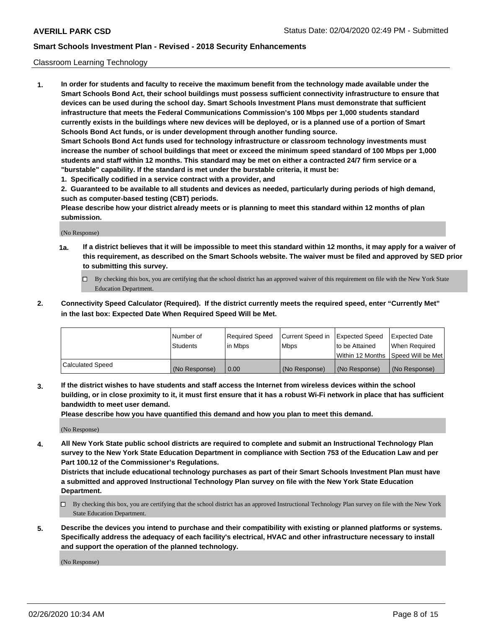### Classroom Learning Technology

**1. In order for students and faculty to receive the maximum benefit from the technology made available under the Smart Schools Bond Act, their school buildings must possess sufficient connectivity infrastructure to ensure that devices can be used during the school day. Smart Schools Investment Plans must demonstrate that sufficient infrastructure that meets the Federal Communications Commission's 100 Mbps per 1,000 students standard currently exists in the buildings where new devices will be deployed, or is a planned use of a portion of Smart Schools Bond Act funds, or is under development through another funding source. Smart Schools Bond Act funds used for technology infrastructure or classroom technology investments must increase the number of school buildings that meet or exceed the minimum speed standard of 100 Mbps per 1,000 students and staff within 12 months. This standard may be met on either a contracted 24/7 firm service or a "burstable" capability. If the standard is met under the burstable criteria, it must be:**

**1. Specifically codified in a service contract with a provider, and**

**2. Guaranteed to be available to all students and devices as needed, particularly during periods of high demand, such as computer-based testing (CBT) periods.**

**Please describe how your district already meets or is planning to meet this standard within 12 months of plan submission.**

(No Response)

- **1a. If a district believes that it will be impossible to meet this standard within 12 months, it may apply for a waiver of this requirement, as described on the Smart Schools website. The waiver must be filed and approved by SED prior to submitting this survey.**
	- By checking this box, you are certifying that the school district has an approved waiver of this requirement on file with the New York State Education Department.
- **2. Connectivity Speed Calculator (Required). If the district currently meets the required speed, enter "Currently Met" in the last box: Expected Date When Required Speed Will be Met.**

|                  | l Number of     | Required Speed | Current Speed in | <b>Expected Speed</b> | <b>Expected Date</b>                |
|------------------|-----------------|----------------|------------------|-----------------------|-------------------------------------|
|                  | <b>Students</b> | l in Mbps      | l Mbps           | to be Attained        | When Required                       |
|                  |                 |                |                  |                       | Within 12 Months  Speed Will be Met |
| Calculated Speed | (No Response)   | 0.00           | (No Response)    | l (No Response)       | (No Response)                       |

**3. If the district wishes to have students and staff access the Internet from wireless devices within the school building, or in close proximity to it, it must first ensure that it has a robust Wi-Fi network in place that has sufficient bandwidth to meet user demand.**

**Please describe how you have quantified this demand and how you plan to meet this demand.**

(No Response)

**4. All New York State public school districts are required to complete and submit an Instructional Technology Plan survey to the New York State Education Department in compliance with Section 753 of the Education Law and per Part 100.12 of the Commissioner's Regulations.**

**Districts that include educational technology purchases as part of their Smart Schools Investment Plan must have a submitted and approved Instructional Technology Plan survey on file with the New York State Education Department.**

- By checking this box, you are certifying that the school district has an approved Instructional Technology Plan survey on file with the New York State Education Department.
- **5. Describe the devices you intend to purchase and their compatibility with existing or planned platforms or systems. Specifically address the adequacy of each facility's electrical, HVAC and other infrastructure necessary to install and support the operation of the planned technology.**

(No Response)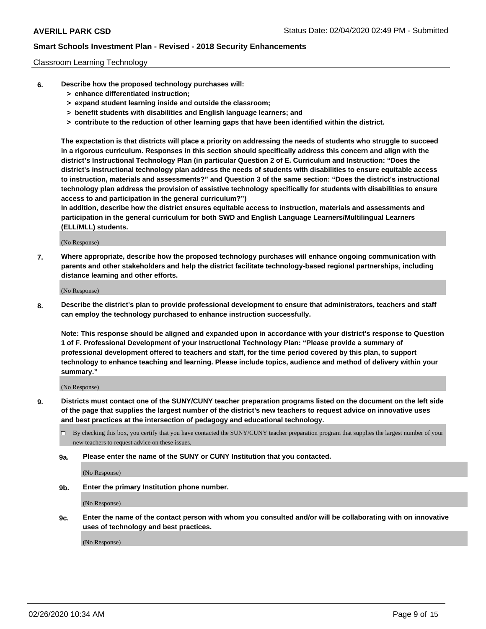### Classroom Learning Technology

- **6. Describe how the proposed technology purchases will:**
	- **> enhance differentiated instruction;**
	- **> expand student learning inside and outside the classroom;**
	- **> benefit students with disabilities and English language learners; and**
	- **> contribute to the reduction of other learning gaps that have been identified within the district.**

**The expectation is that districts will place a priority on addressing the needs of students who struggle to succeed in a rigorous curriculum. Responses in this section should specifically address this concern and align with the district's Instructional Technology Plan (in particular Question 2 of E. Curriculum and Instruction: "Does the district's instructional technology plan address the needs of students with disabilities to ensure equitable access to instruction, materials and assessments?" and Question 3 of the same section: "Does the district's instructional technology plan address the provision of assistive technology specifically for students with disabilities to ensure access to and participation in the general curriculum?")**

**In addition, describe how the district ensures equitable access to instruction, materials and assessments and participation in the general curriculum for both SWD and English Language Learners/Multilingual Learners (ELL/MLL) students.**

(No Response)

**7. Where appropriate, describe how the proposed technology purchases will enhance ongoing communication with parents and other stakeholders and help the district facilitate technology-based regional partnerships, including distance learning and other efforts.**

(No Response)

**8. Describe the district's plan to provide professional development to ensure that administrators, teachers and staff can employ the technology purchased to enhance instruction successfully.**

**Note: This response should be aligned and expanded upon in accordance with your district's response to Question 1 of F. Professional Development of your Instructional Technology Plan: "Please provide a summary of professional development offered to teachers and staff, for the time period covered by this plan, to support technology to enhance teaching and learning. Please include topics, audience and method of delivery within your summary."**

(No Response)

- **9. Districts must contact one of the SUNY/CUNY teacher preparation programs listed on the document on the left side of the page that supplies the largest number of the district's new teachers to request advice on innovative uses and best practices at the intersection of pedagogy and educational technology.**
	- By checking this box, you certify that you have contacted the SUNY/CUNY teacher preparation program that supplies the largest number of your new teachers to request advice on these issues.
	- **9a. Please enter the name of the SUNY or CUNY Institution that you contacted.**

(No Response)

**9b. Enter the primary Institution phone number.**

(No Response)

**9c. Enter the name of the contact person with whom you consulted and/or will be collaborating with on innovative uses of technology and best practices.**

(No Response)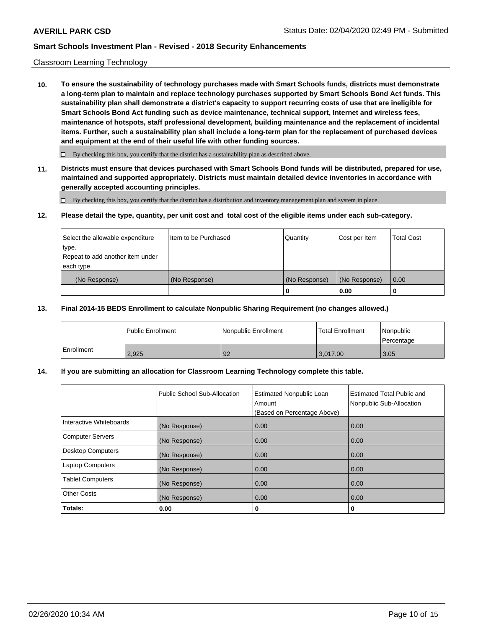### Classroom Learning Technology

**10. To ensure the sustainability of technology purchases made with Smart Schools funds, districts must demonstrate a long-term plan to maintain and replace technology purchases supported by Smart Schools Bond Act funds. This sustainability plan shall demonstrate a district's capacity to support recurring costs of use that are ineligible for Smart Schools Bond Act funding such as device maintenance, technical support, Internet and wireless fees, maintenance of hotspots, staff professional development, building maintenance and the replacement of incidental items. Further, such a sustainability plan shall include a long-term plan for the replacement of purchased devices and equipment at the end of their useful life with other funding sources.**

 $\Box$  By checking this box, you certify that the district has a sustainability plan as described above.

**11. Districts must ensure that devices purchased with Smart Schools Bond funds will be distributed, prepared for use, maintained and supported appropriately. Districts must maintain detailed device inventories in accordance with generally accepted accounting principles.**

By checking this box, you certify that the district has a distribution and inventory management plan and system in place.

#### **12. Please detail the type, quantity, per unit cost and total cost of the eligible items under each sub-category.**

| Select the allowable expenditure<br>type.      | Item to be Purchased | Quantity      | Cost per Item | <b>Total Cost</b> |
|------------------------------------------------|----------------------|---------------|---------------|-------------------|
| Repeat to add another item under<br>each type. |                      |               |               |                   |
| (No Response)                                  | (No Response)        | (No Response) | (No Response) | 0.00              |
|                                                |                      | 0             | 0.00          |                   |

#### **13. Final 2014-15 BEDS Enrollment to calculate Nonpublic Sharing Requirement (no changes allowed.)**

|            | l Public Enrollment | <b>INonpublic Enrollment</b> | <b>Total Enrollment</b> | Nonpublic<br>l Percentage |
|------------|---------------------|------------------------------|-------------------------|---------------------------|
| Enrollment | 2.925               | 92                           | 3.017.00                | 13.05                     |

### **14. If you are submitting an allocation for Classroom Learning Technology complete this table.**

|                         | Public School Sub-Allocation | <b>Estimated Nonpublic Loan</b><br>Amount<br>(Based on Percentage Above) | Estimated Total Public and<br>Nonpublic Sub-Allocation |
|-------------------------|------------------------------|--------------------------------------------------------------------------|--------------------------------------------------------|
| Interactive Whiteboards | (No Response)                | 0.00                                                                     | 0.00                                                   |
| Computer Servers        | (No Response)                | 0.00                                                                     | 0.00                                                   |
| Desktop Computers       | (No Response)                | 0.00                                                                     | 0.00                                                   |
| <b>Laptop Computers</b> | (No Response)                | 0.00                                                                     | 0.00                                                   |
| <b>Tablet Computers</b> | (No Response)                | 0.00                                                                     | 0.00                                                   |
| Other Costs             | (No Response)                | 0.00                                                                     | 0.00                                                   |
| Totals:                 | 0.00                         | 0                                                                        | 0                                                      |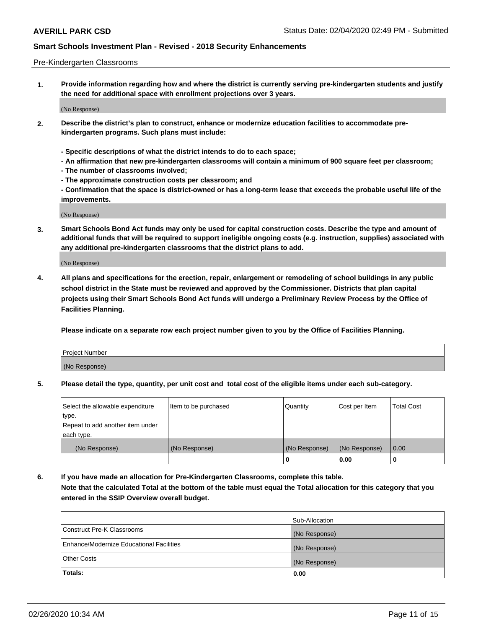#### Pre-Kindergarten Classrooms

**1. Provide information regarding how and where the district is currently serving pre-kindergarten students and justify the need for additional space with enrollment projections over 3 years.**

(No Response)

- **2. Describe the district's plan to construct, enhance or modernize education facilities to accommodate prekindergarten programs. Such plans must include:**
	- **Specific descriptions of what the district intends to do to each space;**
	- **An affirmation that new pre-kindergarten classrooms will contain a minimum of 900 square feet per classroom;**
	- **The number of classrooms involved;**
	- **The approximate construction costs per classroom; and**
	- **Confirmation that the space is district-owned or has a long-term lease that exceeds the probable useful life of the improvements.**

(No Response)

**3. Smart Schools Bond Act funds may only be used for capital construction costs. Describe the type and amount of additional funds that will be required to support ineligible ongoing costs (e.g. instruction, supplies) associated with any additional pre-kindergarten classrooms that the district plans to add.**

(No Response)

**4. All plans and specifications for the erection, repair, enlargement or remodeling of school buildings in any public school district in the State must be reviewed and approved by the Commissioner. Districts that plan capital projects using their Smart Schools Bond Act funds will undergo a Preliminary Review Process by the Office of Facilities Planning.**

**Please indicate on a separate row each project number given to you by the Office of Facilities Planning.**

| Project Number |  |
|----------------|--|
| (No Response)  |  |
|                |  |

**5. Please detail the type, quantity, per unit cost and total cost of the eligible items under each sub-category.**

| Select the allowable expenditure | Item to be purchased | Quantity      | Cost per Item | <b>Total Cost</b> |
|----------------------------------|----------------------|---------------|---------------|-------------------|
| type.                            |                      |               |               |                   |
| Repeat to add another item under |                      |               |               |                   |
| each type.                       |                      |               |               |                   |
| (No Response)                    | (No Response)        | (No Response) | (No Response) | 0.00              |
|                                  |                      | U             | 0.00          |                   |

**6. If you have made an allocation for Pre-Kindergarten Classrooms, complete this table. Note that the calculated Total at the bottom of the table must equal the Total allocation for this category that you entered in the SSIP Overview overall budget.**

|                                          | Sub-Allocation |
|------------------------------------------|----------------|
| Construct Pre-K Classrooms               | (No Response)  |
| Enhance/Modernize Educational Facilities | (No Response)  |
| <b>Other Costs</b>                       | (No Response)  |
| Totals:                                  | 0.00           |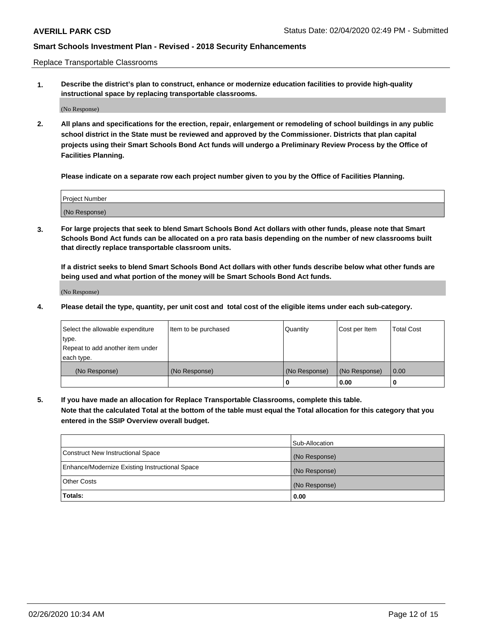Replace Transportable Classrooms

**1. Describe the district's plan to construct, enhance or modernize education facilities to provide high-quality instructional space by replacing transportable classrooms.**

(No Response)

**2. All plans and specifications for the erection, repair, enlargement or remodeling of school buildings in any public school district in the State must be reviewed and approved by the Commissioner. Districts that plan capital projects using their Smart Schools Bond Act funds will undergo a Preliminary Review Process by the Office of Facilities Planning.**

**Please indicate on a separate row each project number given to you by the Office of Facilities Planning.**

| Project Number |  |
|----------------|--|
|                |  |
|                |  |
|                |  |
| (No Response)  |  |
|                |  |
|                |  |

**3. For large projects that seek to blend Smart Schools Bond Act dollars with other funds, please note that Smart Schools Bond Act funds can be allocated on a pro rata basis depending on the number of new classrooms built that directly replace transportable classroom units.**

**If a district seeks to blend Smart Schools Bond Act dollars with other funds describe below what other funds are being used and what portion of the money will be Smart Schools Bond Act funds.**

(No Response)

**4. Please detail the type, quantity, per unit cost and total cost of the eligible items under each sub-category.**

| Select the allowable expenditure | Item to be purchased | Quantity      | Cost per Item | Total Cost |
|----------------------------------|----------------------|---------------|---------------|------------|
| ∣type.                           |                      |               |               |            |
| Repeat to add another item under |                      |               |               |            |
| each type.                       |                      |               |               |            |
| (No Response)                    | (No Response)        | (No Response) | (No Response) | 0.00       |
|                                  |                      | u             | 0.00          |            |

**5. If you have made an allocation for Replace Transportable Classrooms, complete this table. Note that the calculated Total at the bottom of the table must equal the Total allocation for this category that you entered in the SSIP Overview overall budget.**

|                                                | Sub-Allocation |
|------------------------------------------------|----------------|
| Construct New Instructional Space              | (No Response)  |
| Enhance/Modernize Existing Instructional Space | (No Response)  |
| Other Costs                                    | (No Response)  |
| Totals:                                        | 0.00           |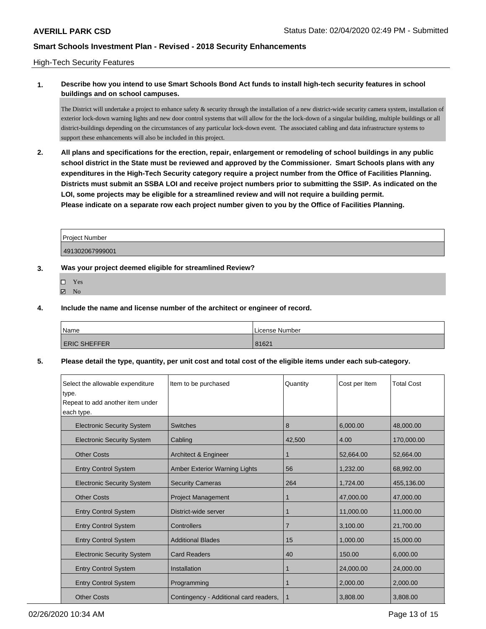### High-Tech Security Features

## **1. Describe how you intend to use Smart Schools Bond Act funds to install high-tech security features in school buildings and on school campuses.**

The District will undertake a project to enhance safety & security through the installation of a new district-wide security camera system, installation of exterior lock-down warning lights and new door control systems that will allow for the the lock-down of a singular building, multiple buildings or all district-buildings depending on the circumstances of any particular lock-down event. The associated cabling and data infrastructure systems to support these enhancements will also be included in this project.

**2. All plans and specifications for the erection, repair, enlargement or remodeling of school buildings in any public school district in the State must be reviewed and approved by the Commissioner. Smart Schools plans with any expenditures in the High-Tech Security category require a project number from the Office of Facilities Planning. Districts must submit an SSBA LOI and receive project numbers prior to submitting the SSIP. As indicated on the LOI, some projects may be eligible for a streamlined review and will not require a building permit. Please indicate on a separate row each project number given to you by the Office of Facilities Planning.**

| Project Number  |  |
|-----------------|--|
| 491302067999001 |  |

### **3. Was your project deemed eligible for streamlined Review?**

 $\boxtimes$  No

#### **4. Include the name and license number of the architect or engineer of record.**

| <b>Name</b>         | License Number |
|---------------------|----------------|
| <b>ERIC SHEFFER</b> | 81621          |

#### **5. Please detail the type, quantity, per unit cost and total cost of the eligible items under each sub-category.**

| Select the allowable expenditure<br>type. | Item to be purchased                   | Quantity       | Cost per Item | <b>Total Cost</b> |
|-------------------------------------------|----------------------------------------|----------------|---------------|-------------------|
| Repeat to add another item under          |                                        |                |               |                   |
| each type.                                |                                        |                |               |                   |
| <b>Electronic Security System</b>         | <b>Switches</b>                        | 8              | 6,000.00      | 48,000.00         |
| <b>Electronic Security System</b>         | Cabling                                | 42,500         | 4.00          | 170,000.00        |
| <b>Other Costs</b>                        | Architect & Engineer                   |                | 52,664.00     | 52,664.00         |
| <b>Entry Control System</b>               | <b>Amber Exterior Warning Lights</b>   | 56             | 1,232.00      | 68,992.00         |
| <b>Electronic Security System</b>         | <b>Security Cameras</b>                | 264            | 1,724.00      | 455,136.00        |
| <b>Other Costs</b>                        | <b>Project Management</b>              | 1              | 47,000.00     | 47,000.00         |
| <b>Entry Control System</b>               | District-wide server                   |                | 11,000.00     | 11,000.00         |
| <b>Entry Control System</b>               | Controllers                            | $\overline{7}$ | 3,100.00      | 21,700.00         |
| <b>Entry Control System</b>               | <b>Additional Blades</b>               | 15             | 1,000.00      | 15,000.00         |
| <b>Electronic Security System</b>         | <b>Card Readers</b>                    | 40             | 150.00        | 6,000.00          |
| <b>Entry Control System</b>               | Installation                           |                | 24,000.00     | 24,000.00         |
| <b>Entry Control System</b>               | Programming                            |                | 2,000.00      | 2,000.00          |
| <b>Other Costs</b>                        | Contingency - Additional card readers, | 1              | 3,808.00      | 3,808.00          |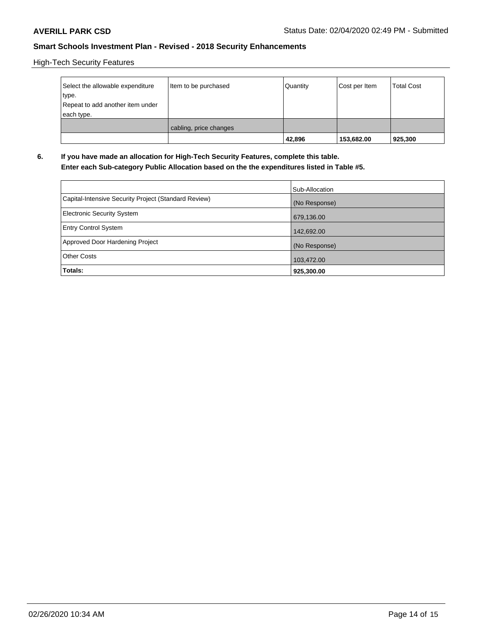High-Tech Security Features

| Select the allowable expenditure<br>type.<br>Repeat to add another item under<br>each type. | Item to be purchased   | Quantity | Cost per Item | <b>Total Cost</b> |
|---------------------------------------------------------------------------------------------|------------------------|----------|---------------|-------------------|
|                                                                                             | cabling, price changes | 42,896   | 153,682.00    | 925,300           |

**6. If you have made an allocation for High-Tech Security Features, complete this table. Enter each Sub-category Public Allocation based on the the expenditures listed in Table #5.**

|                                                      | Sub-Allocation |
|------------------------------------------------------|----------------|
| Capital-Intensive Security Project (Standard Review) | (No Response)  |
| <b>Electronic Security System</b>                    | 679,136.00     |
| <b>Entry Control System</b>                          | 142,692.00     |
| Approved Door Hardening Project                      | (No Response)  |
| <b>Other Costs</b>                                   | 103,472.00     |
| Totals:                                              | 925,300.00     |